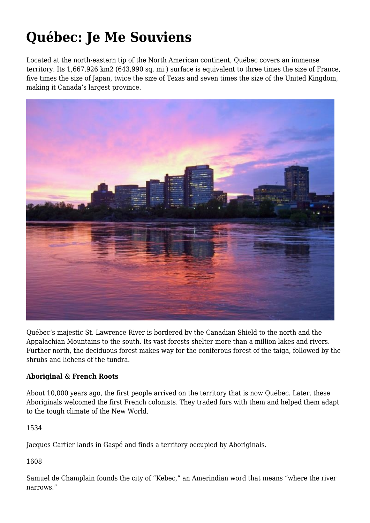# **Québec: Je Me Souviens**

Located at the north-eastern tip of the North American continent, Québec covers an immense territory. Its 1,667,926 km2 (643,990 sq. mi.) surface is equivalent to three times the size of France, five times the size of Japan, twice the size of Texas and seven times the size of the United Kingdom, making it Canada's largest province.



Québec's majestic St. Lawrence River is bordered by the Canadian Shield to the north and the Appalachian Mountains to the south. Its vast forests shelter more than a million lakes and rivers. Further north, the deciduous forest makes way for the coniferous forest of the taiga, followed by the shrubs and lichens of the tundra.

## **Aboriginal & French Roots**

About 10,000 years ago, the first people arrived on the territory that is now Québec. Later, these Aboriginals welcomed the first French colonists. They traded furs with them and helped them adapt to the tough climate of the New World.

1534

Jacques Cartier lands in Gaspé and finds a territory occupied by Aboriginals.

1608

Samuel de Champlain founds the city of "Kebec," an Amerindian word that means "where the river narrows."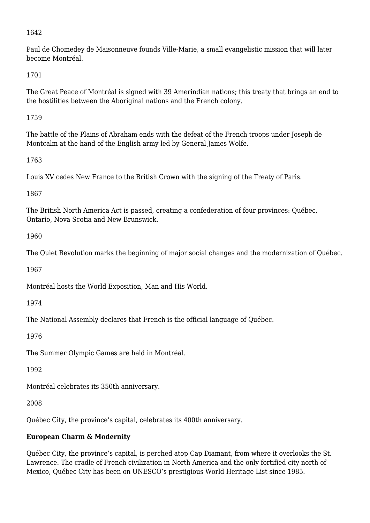#### 1642

Paul de Chomedey de Maisonneuve founds Ville-Marie, a small evangelistic mission that will later become Montréal.

1701

The Great Peace of Montréal is signed with 39 Amerindian nations; this treaty that brings an end to the hostilities between the Aboriginal nations and the French colony.

1759

The battle of the Plains of Abraham ends with the defeat of the French troops under Joseph de Montcalm at the hand of the English army led by General James Wolfe.

1763

Louis XV cedes New France to the British Crown with the signing of the Treaty of Paris.

1867

The British North America Act is passed, creating a confederation of four provinces: Québec, Ontario, Nova Scotia and New Brunswick.

1960

The Quiet Revolution marks the beginning of major social changes and the modernization of Québec.

1967

Montréal hosts the World Exposition, Man and His World.

1974

The National Assembly declares that French is the official language of Québec.

1976

The Summer Olympic Games are held in Montréal.

1992

Montréal celebrates its 350th anniversary.

2008

Québec City, the province's capital, celebrates its 400th anniversary.

## **European Charm & Modernity**

Québec City, the province's capital, is perched atop Cap Diamant, from where it overlooks the St. Lawrence. The cradle of French civilization in North America and the only fortified city north of Mexico, Québec City has been on UNESCO's prestigious World Heritage List since 1985.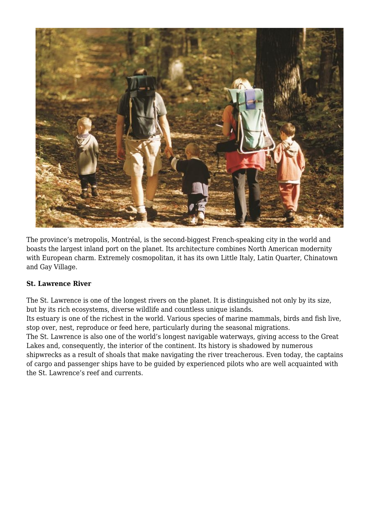

The province's metropolis, Montréal, is the second-biggest French-speaking city in the world and boasts the largest inland port on the planet. Its architecture combines North American modernity with European charm. Extremely cosmopolitan, it has its own Little Italy, Latin Quarter, Chinatown and Gay Village.

## **St. Lawrence River**

The St. Lawrence is one of the longest rivers on the planet. It is distinguished not only by its size, but by its rich ecosystems, diverse wildlife and countless unique islands.

Its estuary is one of the richest in the world. Various species of marine mammals, birds and fish live, stop over, nest, reproduce or feed here, particularly during the seasonal migrations.

The St. Lawrence is also one of the world's longest navigable waterways, giving access to the Great Lakes and, consequently, the interior of the continent. Its history is shadowed by numerous shipwrecks as a result of shoals that make navigating the river treacherous. Even today, the captains of cargo and passenger ships have to be guided by experienced pilots who are well acquainted with the St. Lawrence's reef and currents.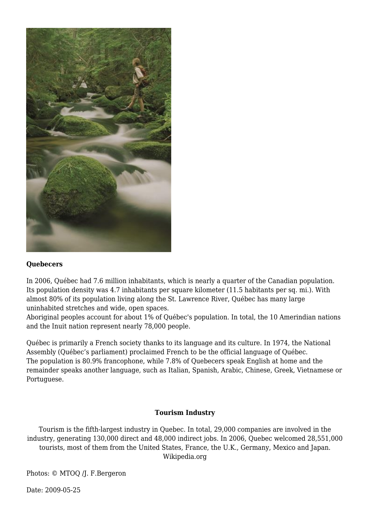

#### **Quebecers**

In 2006, Québec had 7.6 million inhabitants, which is nearly a quarter of the Canadian population. Its population density was 4.7 inhabitants per square kilometer (11.5 habitants per sq. mi.). With almost 80% of its population living along the St. Lawrence River, Québec has many large uninhabited stretches and wide, open spaces.

Aboriginal peoples account for about 1% of Québec's population. In total, the 10 Amerindian nations and the Inuit nation represent nearly 78,000 people.

Québec is primarily a French society thanks to its language and its culture. In 1974, the National Assembly (Québec's parliament) proclaimed French to be the official language of Québec. The population is 80.9% francophone, while 7.8% of Quebecers speak English at home and the remainder speaks another language, such as Italian, Spanish, Arabic, Chinese, Greek, Vietnamese or Portuguese.

#### **Tourism Industry**

Tourism is the fifth-largest industry in Quebec. In total, 29,000 companies are involved in the industry, generating 130,000 direct and 48,000 indirect jobs. In 2006, Quebec welcomed 28,551,000 tourists, most of them from the United States, France, the U.K., Germany, Mexico and Japan. Wikipedia.org

Photos: © MTOQ /J. F.Bergeron

Date: 2009-05-25